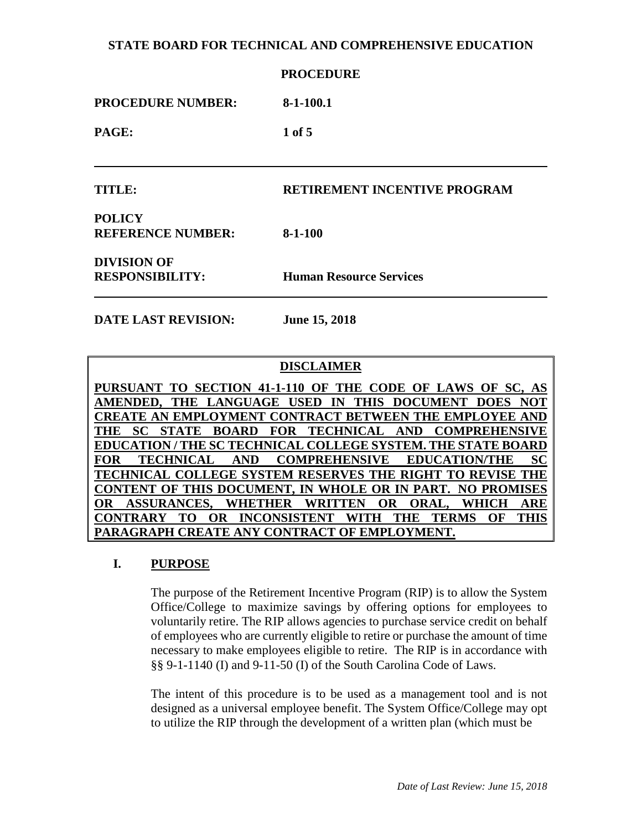|                          | <b>PROCEDURE</b><br>$8-1-100.1$     |  |
|--------------------------|-------------------------------------|--|
| <b>PROCEDURE NUMBER:</b> |                                     |  |
| PAGE:                    | $1$ of $5$                          |  |
|                          |                                     |  |
| TITLE:                   | <b>RETIREMENT INCENTIVE PROGRAM</b> |  |
| <b>POLICY</b>            |                                     |  |
| <b>REFERENCE NUMBER:</b> | $8-1-100$                           |  |
| <b>DIVISION OF</b>       |                                     |  |
| <b>RESPONSIBILITY:</b>   | <b>Human Resource Services</b>      |  |

**DATE LAST REVISION: June 15, 2018**

## **DISCLAIMER**

**PURSUANT TO SECTION 41-1-110 OF THE CODE OF LAWS OF SC, AS AMENDED, THE LANGUAGE USED IN THIS DOCUMENT DOES NOT CREATE AN EMPLOYMENT CONTRACT BETWEEN THE EMPLOYEE AND THE SC STATE BOARD FOR TECHNICAL AND COMPREHENSIVE EDUCATION / THE SC TECHNICAL COLLEGE SYSTEM. THE STATE BOARD FOR TECHNICAL AND COMPREHENSIVE EDUCATION/THE SC TECHNICAL COLLEGE SYSTEM RESERVES THE RIGHT TO REVISE THE CONTENT OF THIS DOCUMENT, IN WHOLE OR IN PART. NO PROMISES OR ASSURANCES, WHETHER WRITTEN OR ORAL, WHICH ARE CONTRARY TO OR INCONSISTENT WITH THE TERMS OF THIS PARAGRAPH CREATE ANY CONTRACT OF EMPLOYMENT.**

## **I. PURPOSE**

The purpose of the Retirement Incentive Program (RIP) is to allow the System Office/College to maximize savings by offering options for employees to voluntarily retire. The RIP allows agencies to purchase service credit on behalf of employees who are currently eligible to retire or purchase the amount of time necessary to make employees eligible to retire. The RIP is in accordance with §§ 9-1-1140 (I) and 9-11-50 (I) of the South Carolina Code of Laws.

The intent of this procedure is to be used as a management tool and is not designed as a universal employee benefit. The System Office/College may opt to utilize the RIP through the development of a written plan (which must be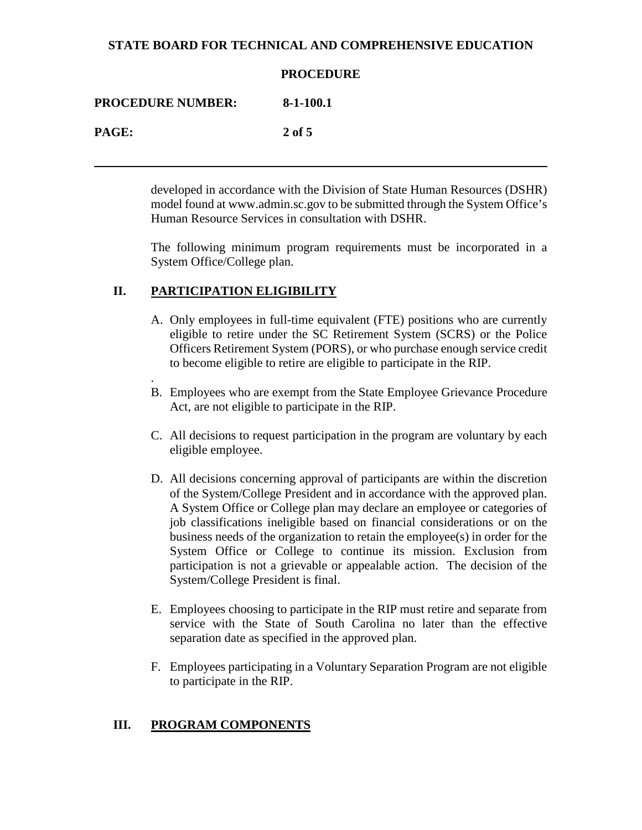|                          | <b>PROCEDURE</b> |
|--------------------------|------------------|
| <b>PROCEDURE NUMBER:</b> | $8-1-100.1$      |
| <b>PAGE:</b>             | $2$ of 5         |
|                          |                  |

developed in accordance with the Division of State Human Resources (DSHR) model found at www.admin.sc.gov to be submitted through the System Office's Human Resource Services in consultation with DSHR.

The following minimum program requirements must be incorporated in a System Office/College plan.

# **II. PARTICIPATION ELIGIBILITY**

- A. Only employees in full-time equivalent (FTE) positions who are currently eligible to retire under the SC Retirement System (SCRS) or the Police Officers Retirement System (PORS), or who purchase enough service credit to become eligible to retire are eligible to participate in the RIP.
- . B. Employees who are exempt from the State Employee Grievance Procedure Act, are not eligible to participate in the RIP.
- C. All decisions to request participation in the program are voluntary by each eligible employee.
- D. All decisions concerning approval of participants are within the discretion of the System/College President and in accordance with the approved plan. A System Office or College plan may declare an employee or categories of job classifications ineligible based on financial considerations or on the business needs of the organization to retain the employee(s) in order for the System Office or College to continue its mission. Exclusion from participation is not a grievable or appealable action. The decision of the System/College President is final.
- E. Employees choosing to participate in the RIP must retire and separate from service with the State of South Carolina no later than the effective separation date as specified in the approved plan.
- F. Employees participating in a Voluntary Separation Program are not eligible to participate in the RIP.

# **III. PROGRAM COMPONENTS**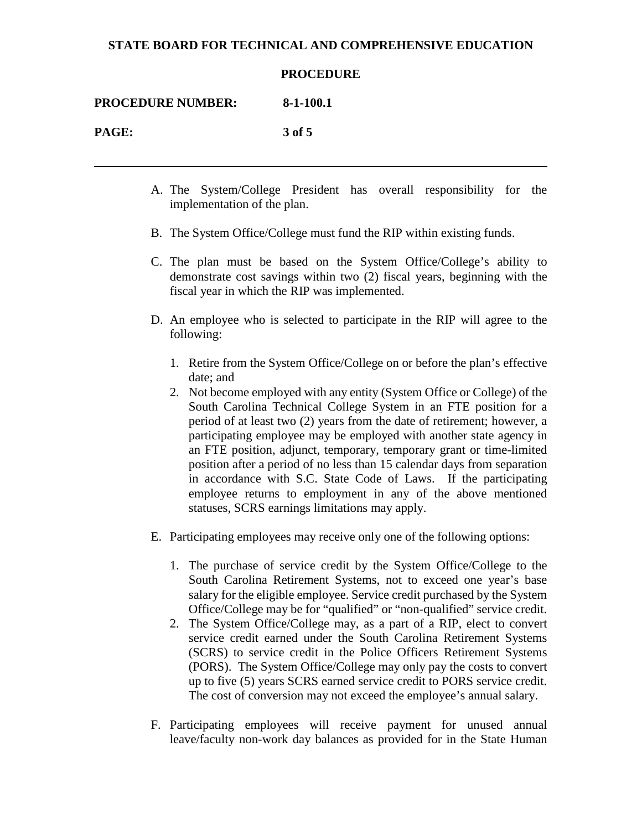#### **PROCEDURE**

**PROCEDURE NUMBER: 8-1-100.1**

**PAGE: 3 of 5**

- A. The System/College President has overall responsibility for the implementation of the plan.
- B. The System Office/College must fund the RIP within existing funds.
- C. The plan must be based on the System Office/College's ability to demonstrate cost savings within two (2) fiscal years, beginning with the fiscal year in which the RIP was implemented.
- D. An employee who is selected to participate in the RIP will agree to the following:
	- 1. Retire from the System Office/College on or before the plan's effective date; and
	- 2. Not become employed with any entity (System Office or College) of the South Carolina Technical College System in an FTE position for a period of at least two (2) years from the date of retirement; however, a participating employee may be employed with another state agency in an FTE position, adjunct, temporary, temporary grant or time-limited position after a period of no less than 15 calendar days from separation in accordance with S.C. State Code of Laws. If the participating employee returns to employment in any of the above mentioned statuses, SCRS earnings limitations may apply.
- E. Participating employees may receive only one of the following options:
	- 1. The purchase of service credit by the System Office/College to the South Carolina Retirement Systems, not to exceed one year's base salary for the eligible employee. Service credit purchased by the System Office/College may be for "qualified" or "non-qualified" service credit.
	- 2. The System Office/College may, as a part of a RIP, elect to convert service credit earned under the South Carolina Retirement Systems (SCRS) to service credit in the Police Officers Retirement Systems (PORS). The System Office/College may only pay the costs to convert up to five (5) years SCRS earned service credit to PORS service credit. The cost of conversion may not exceed the employee's annual salary.
- F. Participating employees will receive payment for unused annual leave/faculty non-work day balances as provided for in the State Human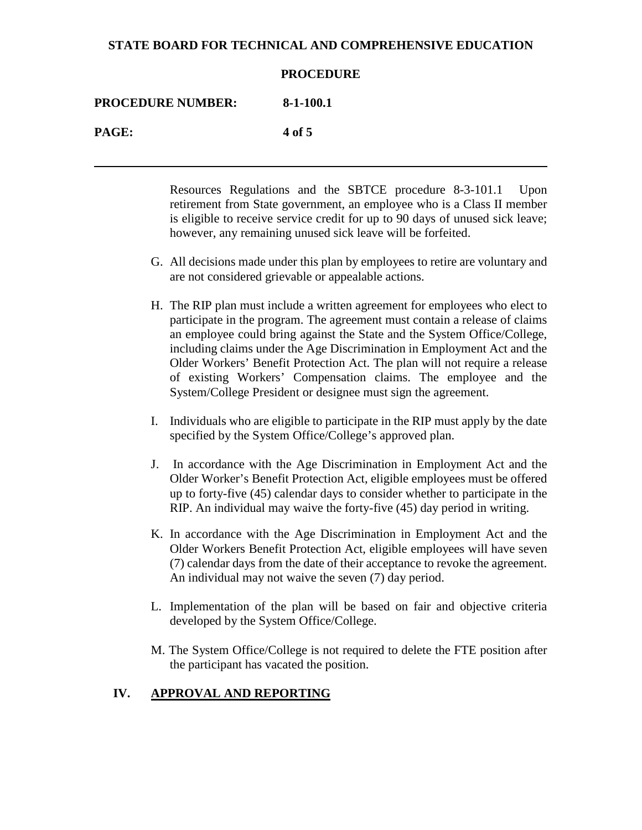|                          | <b>PROCEDURE</b> |
|--------------------------|------------------|
| <b>PROCEDURE NUMBER:</b> | $8-1-100.1$      |
| <b>PAGE:</b>             | 4 of 5           |
|                          |                  |

Resources Regulations and the SBTCE procedure 8-3-101.1 Upon retirement from State government, an employee who is a Class II member is eligible to receive service credit for up to 90 days of unused sick leave; however, any remaining unused sick leave will be forfeited.

- G. All decisions made under this plan by employees to retire are voluntary and are not considered grievable or appealable actions.
- H. The RIP plan must include a written agreement for employees who elect to participate in the program. The agreement must contain a release of claims an employee could bring against the State and the System Office/College, including claims under the Age Discrimination in Employment Act and the Older Workers' Benefit Protection Act. The plan will not require a release of existing Workers' Compensation claims. The employee and the System/College President or designee must sign the agreement.
- I. Individuals who are eligible to participate in the RIP must apply by the date specified by the System Office/College's approved plan.
- J. In accordance with the Age Discrimination in Employment Act and the Older Worker's Benefit Protection Act, eligible employees must be offered up to forty-five (45) calendar days to consider whether to participate in the RIP. An individual may waive the forty-five (45) day period in writing.
- K. In accordance with the Age Discrimination in Employment Act and the Older Workers Benefit Protection Act, eligible employees will have seven (7) calendar days from the date of their acceptance to revoke the agreement. An individual may not waive the seven (7) day period.
- L. Implementation of the plan will be based on fair and objective criteria developed by the System Office/College.
- M. The System Office/College is not required to delete the FTE position after the participant has vacated the position.

## **IV. APPROVAL AND REPORTING**